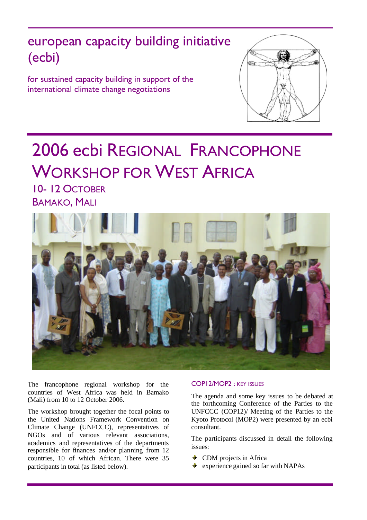european capacity building initiative (ecbi)

for sustained capacity building in support of the international climate change negotiations



# 2006 ecbi REGIONAL FRANCOPHONE WORKSHOP FOR WEST AFRICA

10- 12 OCTOBER BAMAKO, MALI



The francophone regional workshop for the countries of West Africa was held in Bamako (Mali) from 10 to 12 October 2006.

The workshop brought together the focal points to the United Nations Framework Convention on Climate Change (UNFCCC), representatives of NGOs and of various relevant associations, academics and representatives of the departments responsible for finances and/or planning from 12 countries, 10 of which African. There were 35 participants in total (as listed below).

## COP12/MOP2 : KEY ISSUES

The agenda and some key issues to be debated at the forthcoming Conference of the Parties to the UNFCCC (COP12)/ Meeting of the Parties to the Kyoto Protocol (MOP2) were presented by an ecbi consultant.

The participants discussed in detail the following issues:

- CDM projects in Africa
- $\bullet$  experience gained so far with NAPAs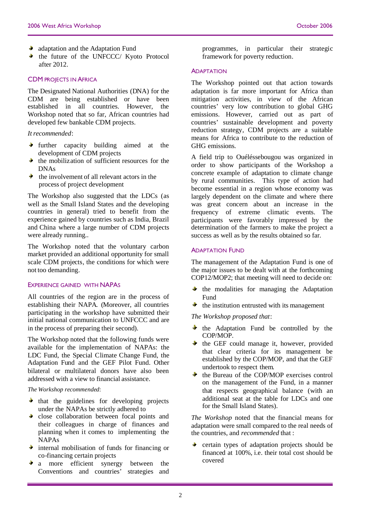- $\bullet$  adaptation and the Adaptation Fund
- $\bullet$  the future of the UNFCCC/ Kyoto Protocol after 2012.

## CDM PROJECTS IN AFRICA

The Designated National Authorities (DNA) for the CDM are being established or have been established in all countries. However, the Workshop noted that so far, African countries had developed few bankable CDM projects.

#### *It recommended*:

- $\bullet$  further capacity building aimed at the development of CDM projects
- the mobilization of sufficient resources for the DNA<sub>c</sub>
- $\bullet$  the involvement of all relevant actors in the process of project development

The Workshop also suggested that the LDCs (as well as the Small Island States and the developing countries in general) tried to benefit from the experience gained by countries such as India, Brazil and China where a large number of CDM projects were already running..

The Workshop noted that the voluntary carbon market provided an additional opportunity for small scale CDM projects, the conditions for which were not too demanding.

#### EXPERIENCE GAINED WITH NAPAS

All countries of the region are in the process of establishing their NAPA. (Moreover, all countries participating in the workshop have submitted their initial national communication to UNFCCC and are in the process of preparing their second).

The Workshop noted that the following funds were available for the implementation of NAPAs: the LDC Fund, the Special Climate Change Fund, the Adaptation Fund and the GEF Pilot Fund. Other bilateral or multilateral donors have also been addressed with a view to financial assistance.

*The Workshop recommended*:

- $\bullet$  that the guidelines for developing projects under the NAPAs be strictly adhered to
- close collaboration between focal points and  $\blacklozenge$ their colleagues in charge of finances and planning when it comes to implementing the NAPAs
- $\bullet$  internal mobilisation of funds for financing or co-financing certain projects
- a more efficient synergy between the Conventions and countries' strategies and

programmes, in particular their strategic framework for poverty reduction.

#### **ADAPTATION**

The Workshop pointed out that action towards adaptation is far more important for Africa than mitigation activities, in view of the African countries' very low contribution to global GHG emissions. However, carried out as part of countries' sustainable development and poverty reduction strategy, CDM projects are a suitable means for Africa to contribute to the reduction of GHG emissions.

A field trip to Ouéléssebougou was organized in order to show participants of the Workshop a concrete example of adaptation to climate change by rural communities. This type of action had become essential in a region whose economy was largely dependent on the climate and where there was great concern about an increase in the frequency of extreme climatic events. The participants were favorably impressed by the determination of the farmers to make the project a success as well as by the results obtained so far.

#### ADAPTATION FUND

The management of the Adaptation Fund is one of the major issues to be dealt with at the forthcoming COP12/MOP2; that meeting will need to decide on:

- $\mathbf{r}$ the modalities for managing the Adaptation Fund
- $\bullet$  the institution entrusted with its management

*The Workshop proposed that*:

- $\bullet$  the Adaptation Fund be controlled by the COP/MOP.
- $\bullet$  the GEF could manage it, however, provided that clear criteria for its management be established by the COP/MOP, and that the GEF undertook to respect them.
- $\blacklozenge$  . the Bureau of the COP/MOP exercises control on the management of the Fund, in a manner that respects geographical balance (with an additional seat at the table for LDCs and one for the Small Island States).

*The Workshop* noted that the financial means for adaptation were small compared to the real needs of the countries, and *recommended* that :

certain types of adaptation projects should be alban financed at 100%, i.e. their total cost should be covered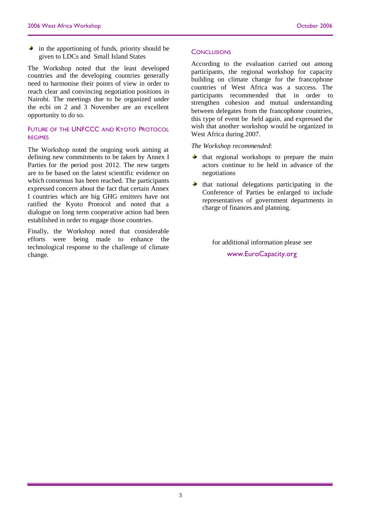$\bullet$  in the apportioning of funds, priority should be given to LDCs and Small Island States

The Workshop noted that the least developed countries and the developing countries generally need to harmonise their points of view in order to reach clear and convincing negotiation positions in Nairobi. The meetings due to be organized under the ecbi on 2 and 3 November are an excellent opportunity to do so.

# FUTURE OF THE UNFCCC AND KYOTO PROTOCOL **REGIMES**

The Workshop noted the ongoing work aiming at defining new commitments to be taken by Annex I Parties for the period post 2012. The new targets are to be based on the latest scientific evidence on which consensus has been reached. The participants expressed concern about the fact that certain Annex I countries which are big GHG emitters have not ratified the Kyoto Protocol and noted that a dialogue on long term cooperative action had been established in order to engage those countries.

Finally, the Workshop noted that considerable efforts were being made to enhance the technological response to the challenge of climate change.

#### **CONCLUSIONS**

According to the evaluation carried out among participants, the regional workshop for capacity building on climate change for the francophone countries of West Africa was a success. The participants recommended that in order to strengthen cohesion and mutual understanding between delegates from the francophone countries, this type of event be held again, and expressed the wish that another workshop would be organized in West Africa during 2007.

*The Workshop recommended*:

- $\bullet$  that regional workshops to prepare the main actors continue to be held in advance of the negotiations
- $\bullet$  that national delegations participating in the Conference of Parties be enlarged to include representatives of government departments in charge of finances and planning.

for additional information please see

www.EuroCapacity.org